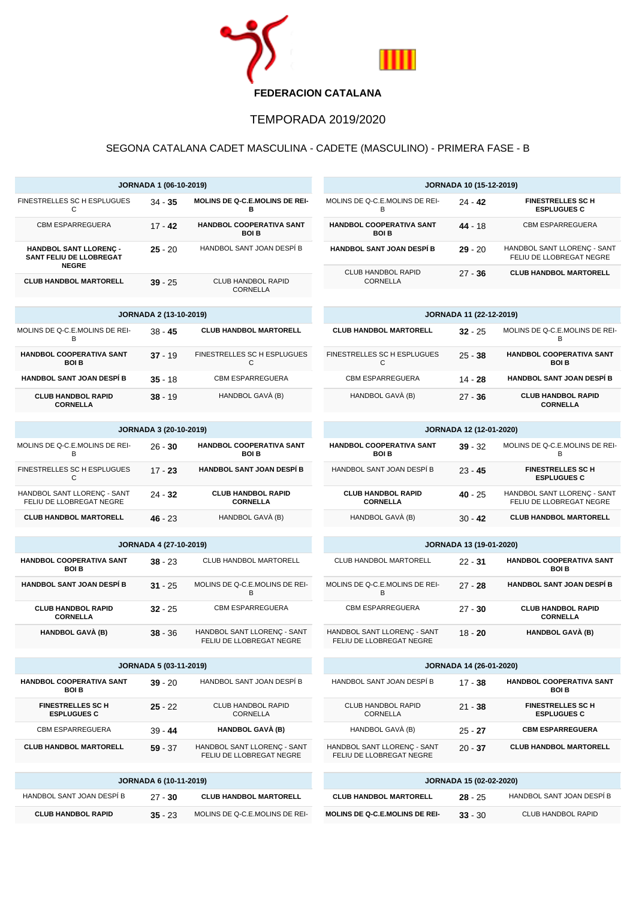

## TEMPORADA 2019/2020

## SEGONA CATALANA CADET MASCULINA - CADETE (MASCULINO) - PRIMERA FASE - B

| JORNADA 1 (06-10-2019)                                            |                               |                                                         | <b>JORNADA 10 (15-12-2019)</b>                          |                         |                                                         |  |
|-------------------------------------------------------------------|-------------------------------|---------------------------------------------------------|---------------------------------------------------------|-------------------------|---------------------------------------------------------|--|
| FINESTRELLES SC H ESPLUGUES<br>C                                  | 34 - 35                       | MOLINS DE Q-C.E.MOLINS DE REI-<br>в                     | MOLINS DE Q-C.E.MOLINS DE REI-<br>B                     | $24 - 42$               | <b>FINESTRELLES SC H</b><br><b>ESPLUGUES C</b>          |  |
| <b>CBM ESPARREGUERA</b>                                           | $17 - 42$                     | HANDBOL COOPERATIVA SANT<br><b>BOI B</b>                | HANDBOL COOPERATIVA SANT<br><b>BOI B</b>                | $44 - 18$               | <b>CBM ESPARREGUERA</b>                                 |  |
| HANDBOL SANT LLORENÇ -<br>SANT FELIU DE LLOBREGAT<br><b>NEGRE</b> | $25 - 20$                     | HANDBOL SANT JOAN DESPÍ B                               | HANDBOL SANT JOAN DESPÍ B                               | $29 - 20$               | HANDBOL SANT LLORENC - SANT<br>FELIU DE LLOBREGAT NEGRE |  |
| <b>CLUB HANDBOL MARTORELL</b>                                     | $39 - 25$                     | CLUB HANDBOL RAPID<br><b>CORNELLA</b>                   | CLUB HANDBOL RAPID<br>CORNELLA                          | $27 - 36$               | <b>CLUB HANDBOL MARTORELL</b>                           |  |
|                                                                   |                               |                                                         |                                                         |                         |                                                         |  |
|                                                                   | <b>JORNADA 2 (13-10-2019)</b> | <b>JORNADA 11 (22-12-2019)</b>                          |                                                         |                         |                                                         |  |
| MOLINS DE Q-C.E.MOLINS DE REI-<br>B                               | $38 - 45$                     | <b>CLUB HANDBOL MARTORELL</b>                           | <b>CLUB HANDBOL MARTORELL</b>                           | $32 - 25$               | MOLINS DE Q-C.E.MOLINS DE REI-<br>B                     |  |
| HANDBOL COOPERATIVA SANT<br><b>BOI B</b>                          | $37 - 19$                     | FINESTRELLES SC H ESPLUGUES<br>C                        | FINESTRELLES SC H ESPLUGUES<br>C                        | $25 - 38$               | HANDBOL COOPERATIVA SANT<br><b>BOI B</b>                |  |
| <b>HANDBOL SANT JOAN DESPÍ B</b>                                  | $35 - 18$                     | <b>CBM ESPARREGUERA</b>                                 | <b>CBM ESPARREGUERA</b>                                 | $14 - 28$               | <b>HANDBOL SANT JOAN DESPÍ B</b>                        |  |
| <b>CLUB HANDBOL RAPID</b><br><b>CORNELLA</b>                      | $38 - 19$                     | HANDBOL GAVÀ (B)                                        | HANDBOL GAVÀ (B)                                        | $27 - 36$               | <b>CLUB HANDBOL RAPID</b><br><b>CORNELLA</b>            |  |
|                                                                   |                               |                                                         |                                                         |                         |                                                         |  |
|                                                                   | JORNADA 3 (20-10-2019)        |                                                         |                                                         | JORNADA 12 (12-01-2020) |                                                         |  |
| MOLINS DE Q-C.E.MOLINS DE REI-<br>B                               | $26 - 30$                     | HANDBOL COOPERATIVA SANT<br><b>BOI B</b>                | HANDBOL COOPERATIVA SANT<br><b>BOI B</b>                | $39 - 32$               | MOLINS DE Q-C.E.MOLINS DE REI-<br>B                     |  |
| FINESTRELLES SC H ESPLUGUES<br>С                                  | $17 - 23$                     | <b>HANDBOL SANT JOAN DESPÍ B</b>                        | HANDBOL SANT JOAN DESPÍ B                               | $23 - 45$               | <b>FINESTRELLES SC H</b><br><b>ESPLUGUES C</b>          |  |
| HANDBOL SANT LLORENÇ - SANT<br>FELIU DE LLOBREGAT NEGRE           | $24 - 32$                     | <b>CLUB HANDBOL RAPID</b><br><b>CORNELLA</b>            | <b>CLUB HANDBOL RAPID</b><br><b>CORNELLA</b>            | $40 - 25$               | HANDBOL SANT LLORENÇ - SANT<br>FELIU DE LLOBREGAT NEGRE |  |
| <b>CLUB HANDBOL MARTORELL</b>                                     | $46 - 23$                     | HANDBOL GAVÀ (B)                                        | HANDBOL GAVÀ (B)                                        | $30 - 42$               | <b>CLUB HANDBOL MARTORELL</b>                           |  |
| <b>JORNADA 4 (27-10-2019)</b>                                     |                               |                                                         | <b>JORNADA 13 (19-01-2020)</b>                          |                         |                                                         |  |
| HANDBOL COOPERATIVA SANT<br><b>BOI B</b>                          | $38 - 23$                     | CLUB HANDBOL MARTORELL                                  | CLUB HANDBOL MARTORELL                                  | $22 - 31$               | HANDBOL COOPERATIVA SANT<br><b>BOIB</b>                 |  |
| <b>HANDBOL SANT JOAN DESPÍ B</b>                                  | $31 - 25$                     | MOLINS DE Q-C.E.MOLINS DE REI-<br>В                     | MOLINS DE Q-C.E.MOLINS DE REI-<br>B                     | $27 - 28$               | <b>HANDBOL SANT JOAN DESPÍ B</b>                        |  |
| <b>CLUB HANDBOL RAPID</b><br><b>CORNELLA</b>                      | $32 - 25$                     | <b>CBM ESPARREGUERA</b>                                 | <b>CBM ESPARREGUERA</b>                                 | $27 - 30$               | <b>CLUB HANDBOL RAPID</b><br><b>CORNELLA</b>            |  |
| <b>HANDBOL GAVÀ (B)</b>                                           | $38 - 36$                     | HANDBOL SANT LLORENÇ - SANT<br>FELIU DE LLOBREGAT NEGRE | HANDBOL SANT LLORENC - SANT<br>FELIU DE LLOBREGAT NEGRE | $18 - 20$               | <b>HANDBOL GAVÀ (B)</b>                                 |  |
| <b>JORNADA 5 (03-11-2019)</b>                                     |                               |                                                         | JORNADA 14 (26-01-2020)                                 |                         |                                                         |  |
| <b>HANDBOL COOPERATIVA SANT</b><br><b>BOI B</b>                   | $39 - 20$                     | HANDBOL SANT JOAN DESPÍ B                               | HANDBOL SANT JOAN DESPÍ B                               | $17 - 38$               | HANDBOL COOPERATIVA SANT<br><b>BOIB</b>                 |  |
| <b>FINESTRELLES SC H</b><br><b>ESPLUGUES C</b>                    | $25 - 22$                     | CLUB HANDBOL RAPID<br>CORNELLA                          | CLUB HANDBOL RAPID<br>CORNELLA                          | $21 - 38$               | <b>FINESTRELLES SC H</b><br><b>ESPLUGUES C</b>          |  |
| <b>CBM ESPARREGUERA</b>                                           | $39 - 44$                     | HANDBOL GAVÀ (B)                                        | HANDBOL GAVÀ (B)                                        | $25 - 27$               | <b>CBM ESPARREGUERA</b>                                 |  |
| <b>CLUB HANDBOL MARTORELL</b>                                     | $59 - 37$                     | HANDBOL SANT LLORENÇ - SANT<br>FELIU DE LLOBREGAT NEGRE | HANDBOL SANT LLORENÇ - SANT<br>FELIU DE LLOBREGAT NEGRE | $20 - 37$               | <b>CLUB HANDBOL MARTORELL</b>                           |  |
|                                                                   |                               |                                                         |                                                         |                         |                                                         |  |
| <b>JORNADA 6 (10-11-2019)</b>                                     |                               |                                                         | JORNADA 15 (02-02-2020)                                 |                         |                                                         |  |
| HANDBOL SANT JOAN DESPI B                                         | $27 - 30$                     | <b>CLUB HANDBOL MARTORELL</b>                           | <b>CLUB HANDBOL MARTORELL</b>                           | $28 - 25$               | HANDBOL SANT JOAN DESPI B                               |  |
| <b>CLUB HANDBOL RAPID</b>                                         | $35 - 23$                     | MOLINS DE Q-C.E.MOLINS DE REI-                          | <b>MOLINS DE Q-C.E.MOLINS DE REI-</b>                   | $33 - 30$               | <b>CLUB HANDBOL RAPID</b>                               |  |